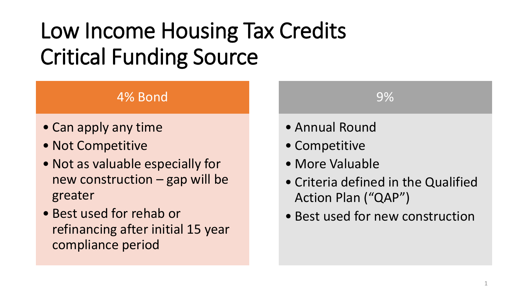# Low Income Housing Tax Credits Critical Funding Source

#### 4% Bond

- Can apply any time
- Not Competitive
- Not as valuable especially for new construction – gap will be greater
- Best used for rehab or refinancing after initial 15 year compliance period



- Competitive
- More Valuable
- Criteria defined in the Qualified Action Plan ("QAP")

9%

• Best used for new construction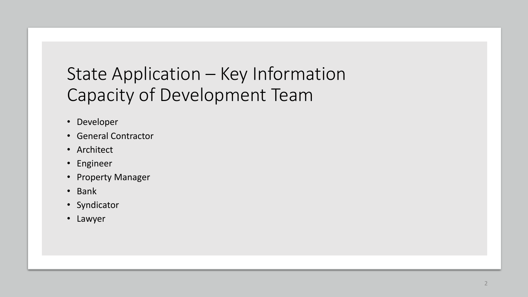## State Application – Key Information Capacity of Development Team

- Developer
- General Contractor
- Architect
- Engineer
- Property Manager
- Bank
- Syndicator
- Lawyer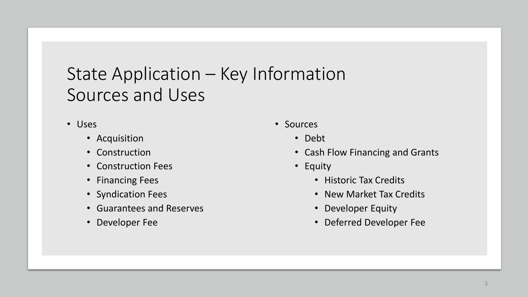### State Application – Key Information Sources and Uses

- Uses
	- Acquisition
	- Construction
	- Construction Fees
	- Financing Fees
	- Syndication Fees
	- Guarantees and Reserves
	- Developer Fee
- Sources
	- Debt
	- Cash Flow Financing and Grants
	- Equity
		- Historic Tax Credits
		- New Market Tax Credits
		- Developer Equity
		- Deferred Developer Fee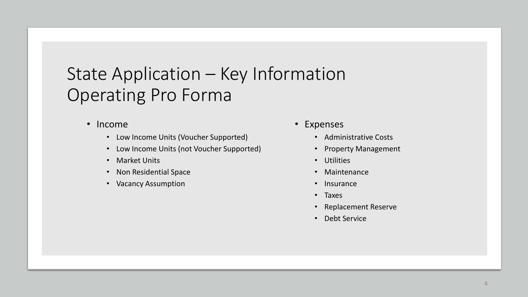### State Application – Key Information Operating Pro Forma

- Income
	- Low Income Units (Voucher Supported)
	- Low Income Units (not Voucher Supported)
	- Market Units
	- Non Residential Space
	- Vacancy Assumption
- Expenses
	- Administrative Costs
	- Property Management
	- Utilities
	- **Maintenance**
	- **Insurance**
	- Taxes
	- Replacement Reserve
	- Debt Service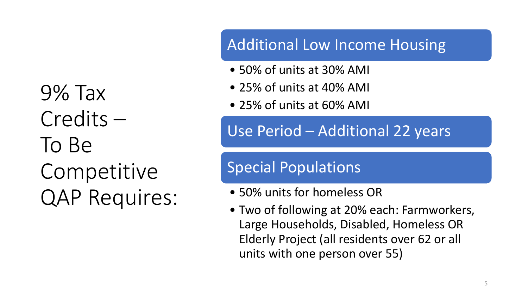9% Tax Credits – To Be **Competitive** QAP Requires:

#### Additional Low Income Housing

- 50% of units at 30% AMI
- 25% of units at 40% AMI
- 25% of units at 60% AMI

Use Period – Additional 22 years

#### Special Populations

- 50% units for homeless OR
- Two of following at 20% each: Farmworkers, Large Households, Disabled, Homeless OR Elderly Project (all residents over 62 or all units with one person over 55)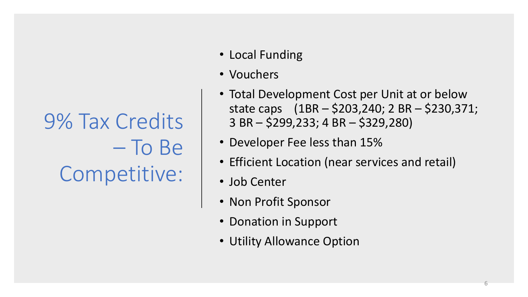9% Tax Credits – To Be Competitive:

- Local Funding
- Vouchers
- Total Development Cost per Unit at or below state caps (1BR – \$203,240; 2 BR – \$230,371; 3 BR – \$299,233; 4 BR – \$329,280)
- Developer Fee less than 15%
- Efficient Location (near services and retail)
- Job Center
- Non Profit Sponsor
- Donation in Support
- Utility Allowance Option